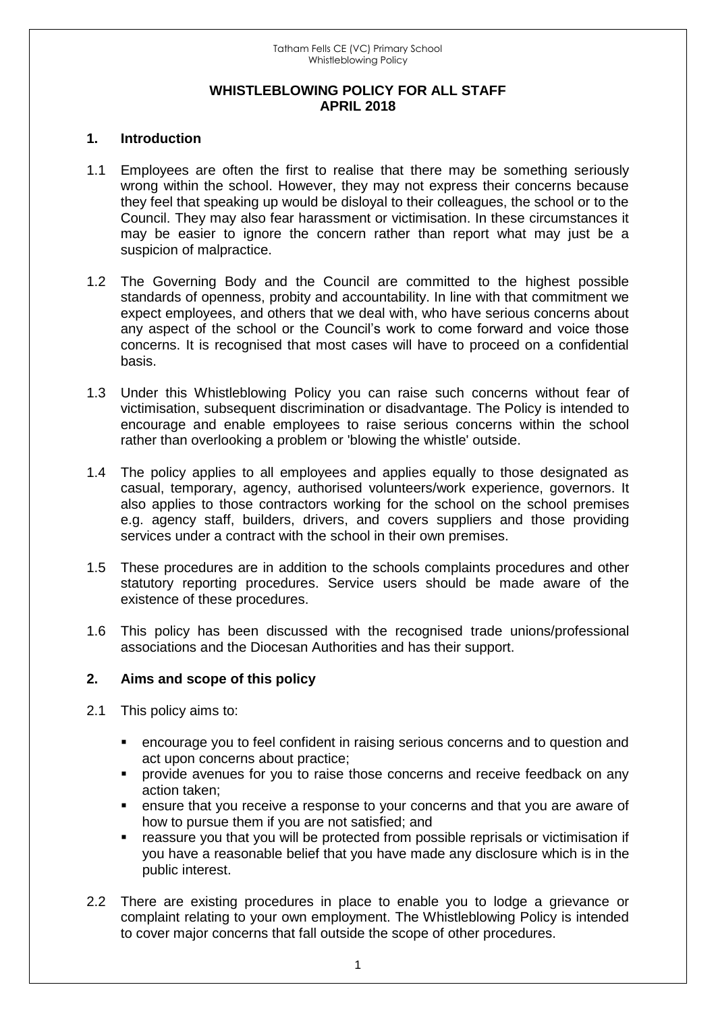#### **WHISTLEBLOWING POLICY FOR ALL STAFF APRIL 2018**

#### **1. Introduction**

- 1.1 Employees are often the first to realise that there may be something seriously wrong within the school. However, they may not express their concerns because they feel that speaking up would be disloyal to their colleagues, the school or to the Council. They may also fear harassment or victimisation. In these circumstances it may be easier to ignore the concern rather than report what may just be a suspicion of malpractice.
- 1.2 The Governing Body and the Council are committed to the highest possible standards of openness, probity and accountability. In line with that commitment we expect employees, and others that we deal with, who have serious concerns about any aspect of the school or the Council's work to come forward and voice those concerns. It is recognised that most cases will have to proceed on a confidential basis.
- 1.3 Under this Whistleblowing Policy you can raise such concerns without fear of victimisation, subsequent discrimination or disadvantage. The Policy is intended to encourage and enable employees to raise serious concerns within the school rather than overlooking a problem or 'blowing the whistle' outside.
- 1.4 The policy applies to all employees and applies equally to those designated as casual, temporary, agency, authorised volunteers/work experience, governors. It also applies to those contractors working for the school on the school premises e.g. agency staff, builders, drivers, and covers suppliers and those providing services under a contract with the school in their own premises.
- 1.5 These procedures are in addition to the schools complaints procedures and other statutory reporting procedures. Service users should be made aware of the existence of these procedures.
- 1.6 This policy has been discussed with the recognised trade unions/professional associations and the Diocesan Authorities and has their support.

# **2. Aims and scope of this policy**

- 2.1 This policy aims to:
	- encourage you to feel confident in raising serious concerns and to question and act upon concerns about practice;
	- **•** provide avenues for you to raise those concerns and receive feedback on any action taken;
	- ensure that you receive a response to your concerns and that you are aware of how to pursue them if you are not satisfied; and
	- reassure you that you will be protected from possible reprisals or victimisation if you have a reasonable belief that you have made any disclosure which is in the public interest.
- 2.2 There are existing procedures in place to enable you to lodge a grievance or complaint relating to your own employment. The Whistleblowing Policy is intended to cover major concerns that fall outside the scope of other procedures.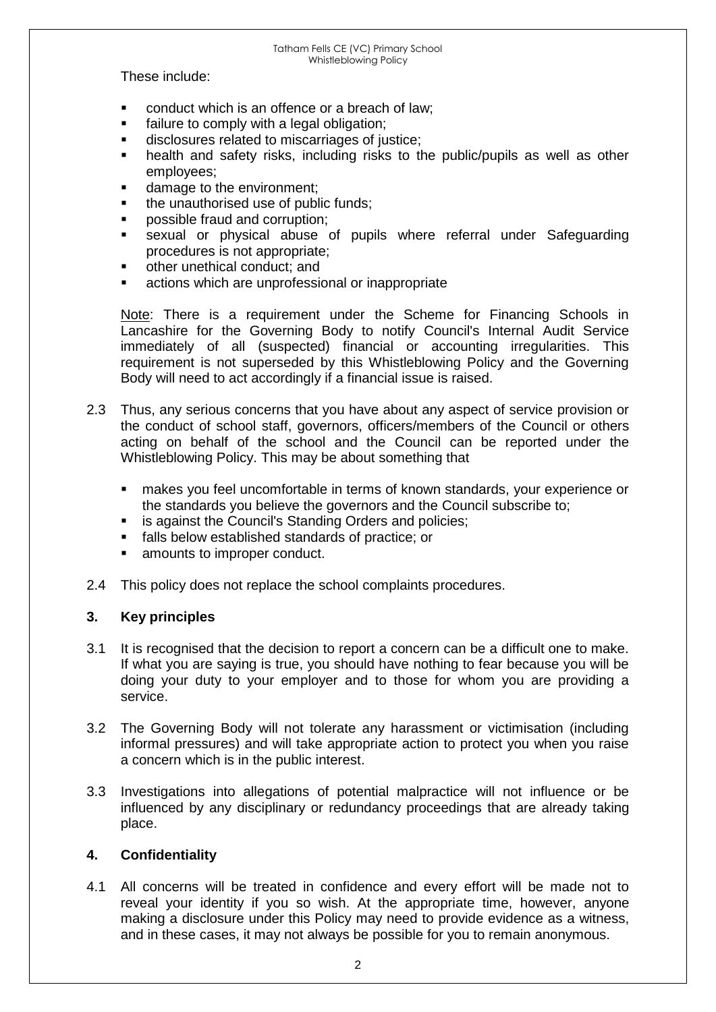These include:

- conduct which is an offence or a breach of law;
- failure to comply with a legal obligation;
- disclosures related to miscarriages of justice;
- health and safety risks, including risks to the public/pupils as well as other employees;
- damage to the environment;
- the unauthorised use of public funds;
- possible fraud and corruption;
- sexual or physical abuse of pupils where referral under Safeguarding procedures is not appropriate;
- other unethical conduct; and
- actions which are unprofessional or inappropriate

Note: There is a requirement under the Scheme for Financing Schools in Lancashire for the Governing Body to notify Council's Internal Audit Service immediately of all (suspected) financial or accounting irregularities. This requirement is not superseded by this Whistleblowing Policy and the Governing Body will need to act accordingly if a financial issue is raised.

- 2.3 Thus, any serious concerns that you have about any aspect of service provision or the conduct of school staff, governors, officers/members of the Council or others acting on behalf of the school and the Council can be reported under the Whistleblowing Policy. This may be about something that
	- makes you feel uncomfortable in terms of known standards, your experience or the standards you believe the governors and the Council subscribe to;
	- **EXECO is against the Council's Standing Orders and policies;**
	- **falls below established standards of practice; or**
	- amounts to improper conduct.
- 2.4 This policy does not replace the school complaints procedures.

# **3. Key principles**

- 3.1 It is recognised that the decision to report a concern can be a difficult one to make. If what you are saying is true, you should have nothing to fear because you will be doing your duty to your employer and to those for whom you are providing a service.
- 3.2 The Governing Body will not tolerate any harassment or victimisation (including informal pressures) and will take appropriate action to protect you when you raise a concern which is in the public interest.
- 3.3 Investigations into allegations of potential malpractice will not influence or be influenced by any disciplinary or redundancy proceedings that are already taking place.

# **4. Confidentiality**

4.1 All concerns will be treated in confidence and every effort will be made not to reveal your identity if you so wish. At the appropriate time, however, anyone making a disclosure under this Policy may need to provide evidence as a witness, and in these cases, it may not always be possible for you to remain anonymous.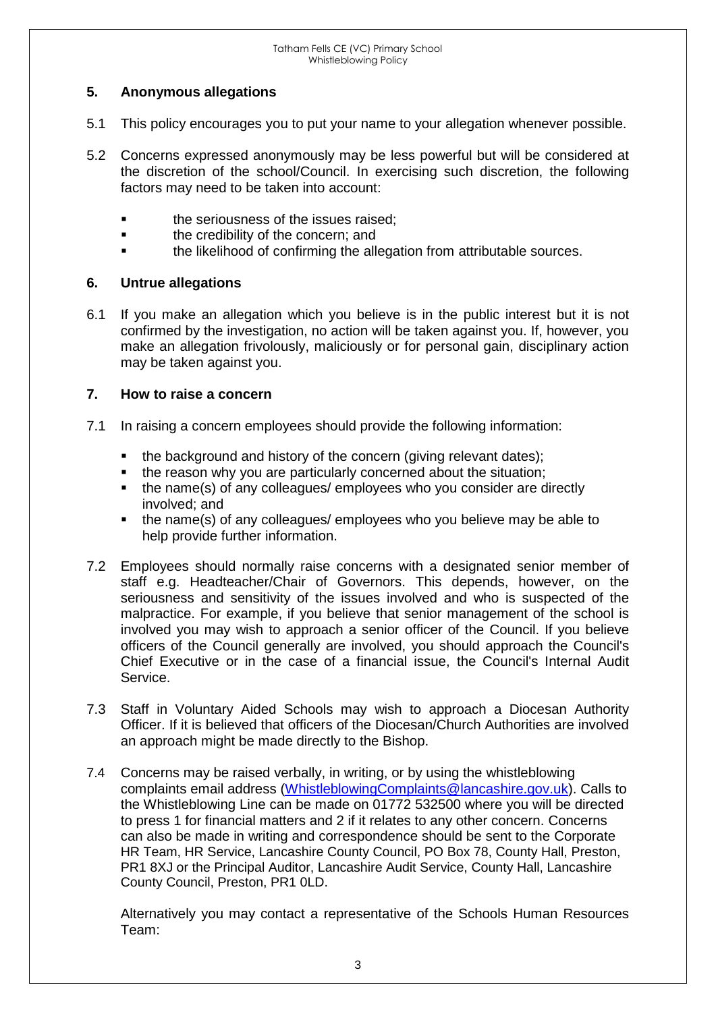# **5. Anonymous allegations**

- 5.1 This policy encourages you to put your name to your allegation whenever possible.
- 5.2 Concerns expressed anonymously may be less powerful but will be considered at the discretion of the school/Council. In exercising such discretion, the following factors may need to be taken into account:
	- the seriousness of the issues raised;
	- the credibility of the concern; and
	- the likelihood of confirming the allegation from attributable sources.

# **6. Untrue allegations**

6.1 If you make an allegation which you believe is in the public interest but it is not confirmed by the investigation, no action will be taken against you. If, however, you make an allegation frivolously, maliciously or for personal gain, disciplinary action may be taken against you.

# **7. How to raise a concern**

- 7.1 In raising a concern employees should provide the following information:
	- the background and history of the concern (giving relevant dates);
	- the reason why you are particularly concerned about the situation;
	- the name(s) of any colleagues/ employees who you consider are directly involved; and
	- the name(s) of any colleagues/ employees who you believe may be able to help provide further information.
- 7.2 Employees should normally raise concerns with a designated senior member of staff e.g. Headteacher/Chair of Governors. This depends, however, on the seriousness and sensitivity of the issues involved and who is suspected of the malpractice. For example, if you believe that senior management of the school is involved you may wish to approach a senior officer of the Council. If you believe officers of the Council generally are involved, you should approach the Council's Chief Executive or in the case of a financial issue, the Council's Internal Audit Service.
- 7.3 Staff in Voluntary Aided Schools may wish to approach a Diocesan Authority Officer. If it is believed that officers of the Diocesan/Church Authorities are involved an approach might be made directly to the Bishop.
- 7.4 Concerns may be raised verbally, in writing, or by using the whistleblowing complaints email address [\(WhistleblowingComplaints@lancashire.gov.uk\)](mailto:WhistleblowingComplaints@lancashire.gov.uk). Calls to the Whistleblowing Line can be made on 01772 532500 where you will be directed to press 1 for financial matters and 2 if it relates to any other concern. Concerns can also be made in writing and correspondence should be sent to the Corporate HR Team, HR Service, Lancashire County Council, PO Box 78, County Hall, Preston, PR1 8XJ or the Principal Auditor, Lancashire Audit Service, County Hall, Lancashire County Council, Preston, PR1 0LD.

Alternatively you may contact a representative of the Schools Human Resources Team: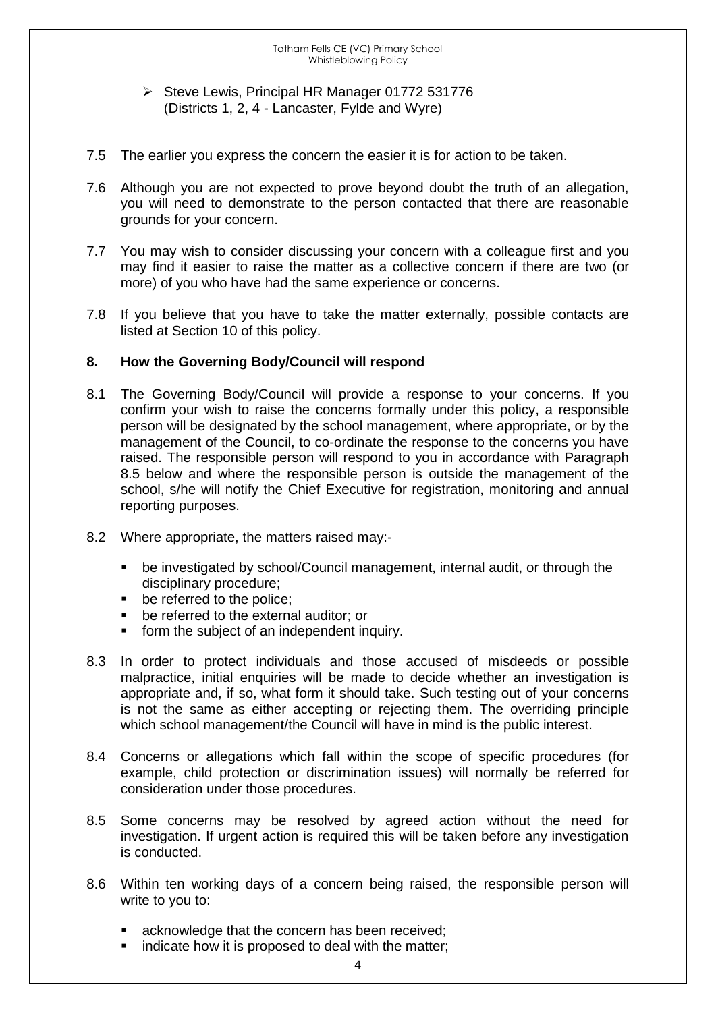#### $\triangleright$  Steve Lewis, Principal HR Manager 01772 531776 (Districts 1, 2, 4 - Lancaster, Fylde and Wyre)

- 7.5 The earlier you express the concern the easier it is for action to be taken.
- 7.6 Although you are not expected to prove beyond doubt the truth of an allegation, you will need to demonstrate to the person contacted that there are reasonable grounds for your concern.
- 7.7 You may wish to consider discussing your concern with a colleague first and you may find it easier to raise the matter as a collective concern if there are two (or more) of you who have had the same experience or concerns.
- 7.8 If you believe that you have to take the matter externally, possible contacts are listed at Section 10 of this policy.

# **8. How the Governing Body/Council will respond**

- 8.1 The Governing Body/Council will provide a response to your concerns. If you confirm your wish to raise the concerns formally under this policy, a responsible person will be designated by the school management, where appropriate, or by the management of the Council, to co-ordinate the response to the concerns you have raised. The responsible person will respond to you in accordance with Paragraph 8.5 below and where the responsible person is outside the management of the school, s/he will notify the Chief Executive for registration, monitoring and annual reporting purposes.
- 8.2 Where appropriate, the matters raised may:
	- be investigated by school/Council management, internal audit, or through the disciplinary procedure;
	- **be referred to the police;**
	- be referred to the external auditor; or
	- **form the subject of an independent inquiry.**
- 8.3 In order to protect individuals and those accused of misdeeds or possible malpractice, initial enquiries will be made to decide whether an investigation is appropriate and, if so, what form it should take. Such testing out of your concerns is not the same as either accepting or rejecting them. The overriding principle which school management/the Council will have in mind is the public interest.
- 8.4 Concerns or allegations which fall within the scope of specific procedures (for example, child protection or discrimination issues) will normally be referred for consideration under those procedures.
- 8.5 Some concerns may be resolved by agreed action without the need for investigation. If urgent action is required this will be taken before any investigation is conducted.
- 8.6 Within ten working days of a concern being raised, the responsible person will write to you to:
	- acknowledge that the concern has been received;
	- indicate how it is proposed to deal with the matter;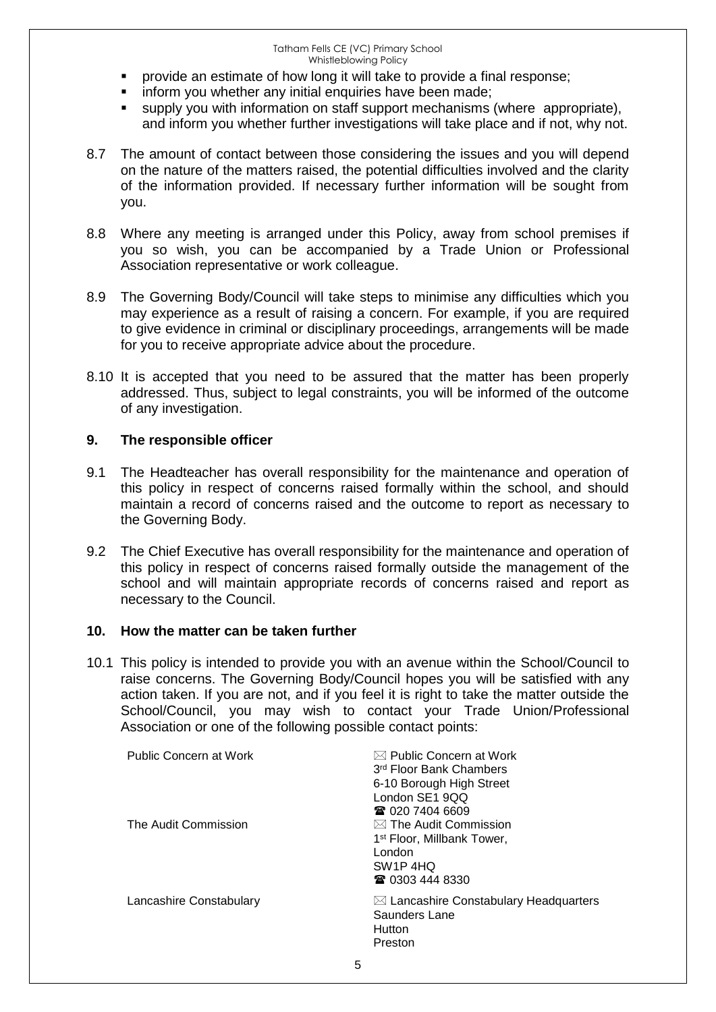- provide an estimate of how long it will take to provide a final response;
- inform you whether any initial enquiries have been made;
- supply you with information on staff support mechanisms (where appropriate), and inform you whether further investigations will take place and if not, why not.
- 8.7 The amount of contact between those considering the issues and you will depend on the nature of the matters raised, the potential difficulties involved and the clarity of the information provided. If necessary further information will be sought from you.
- 8.8 Where any meeting is arranged under this Policy, away from school premises if you so wish, you can be accompanied by a Trade Union or Professional Association representative or work colleague.
- 8.9 The Governing Body/Council will take steps to minimise any difficulties which you may experience as a result of raising a concern. For example, if you are required to give evidence in criminal or disciplinary proceedings, arrangements will be made for you to receive appropriate advice about the procedure.
- 8.10 It is accepted that you need to be assured that the matter has been properly addressed. Thus, subject to legal constraints, you will be informed of the outcome of any investigation.

# **9. The responsible officer**

- 9.1 The Headteacher has overall responsibility for the maintenance and operation of this policy in respect of concerns raised formally within the school, and should maintain a record of concerns raised and the outcome to report as necessary to the Governing Body.
- 9.2 The Chief Executive has overall responsibility for the maintenance and operation of this policy in respect of concerns raised formally outside the management of the school and will maintain appropriate records of concerns raised and report as necessary to the Council.

# **10. How the matter can be taken further**

10.1 This policy is intended to provide you with an avenue within the School/Council to raise concerns. The Governing Body/Council hopes you will be satisfied with any action taken. If you are not, and if you feel it is right to take the matter outside the School/Council, you may wish to contact your Trade Union/Professional Association or one of the following possible contact points:

| Public Concern at Work  | $\boxtimes$ Public Concern at Work<br>3rd Floor Bank Chambers<br>6-10 Borough High Street<br>London SE1 9QQ<br>☎ 020 7404 6609              |
|-------------------------|---------------------------------------------------------------------------------------------------------------------------------------------|
| The Audit Commission    | $\boxtimes$ The Audit Commission<br>1 <sup>st</sup> Floor, Millbank Tower,<br>London<br>SW <sub>1</sub> P <sub>4HQ</sub><br>☎ 0303 444 8330 |
| Lancashire Constabulary | $\boxtimes$ Lancashire Constabulary Headquarters<br>Saunders Lane<br>Hutton<br>Preston                                                      |